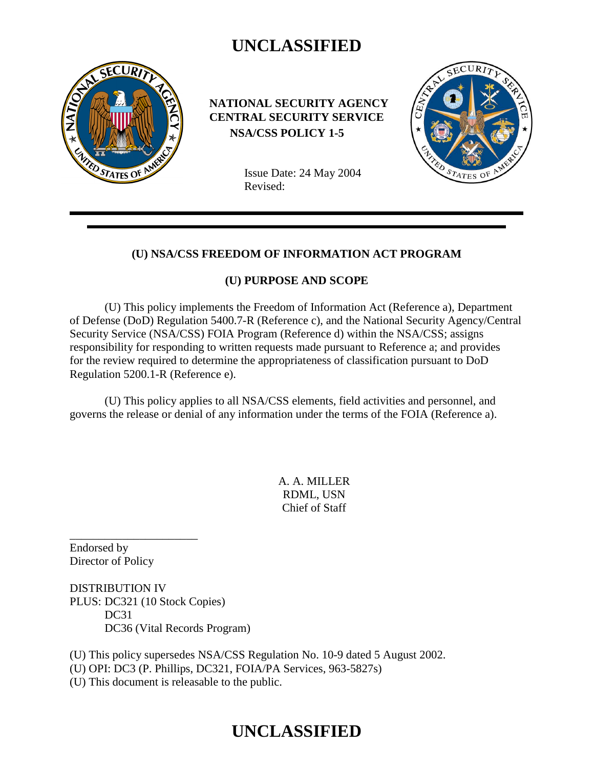

**NATIONAL SECURITY AGENCY CENTRAL SECURITY SERVICE NSA/CSS POLICY 1-5** 

Revised:



#### **(U) NSA/CSS FREEDOM OF INFORMATION ACT PROGRAM**

#### **(U) PURPOSE AND SCOPE**

 (U) This policy implements the Freedom of Information Act (Reference a), Department of Defense (DoD) Regulation 5400.7-R (Reference c), and the National Security Agency/Central Security Service (NSA/CSS) FOIA Program (Reference d) within the NSA/CSS; assigns responsibility for responding to written requests made pursuant to Reference a; and provides for the review required to determine the appropriateness of classification pursuant to DoD Regulation 5200.1-R (Reference e).

 (U) This policy applies to all NSA/CSS elements, field activities and personnel, and governs the release or denial of any information under the terms of the FOIA (Reference a).

> A. A. MILLER RDML, USN Chief of Staff

Endorsed by Director of Policy

\_\_\_\_\_\_\_\_\_\_\_\_\_\_\_\_\_\_\_\_\_\_

DISTRIBUTION IV PLUS: DC321 (10 Stock Copies) DC31 DC36 (Vital Records Program)

(U) This policy supersedes NSA/CSS Regulation No. 10-9 dated 5 August 2002. (U) OPI: DC3 (P. Phillips, DC321, FOIA/PA Services, 963-5827s)

(U) This document is releasable to the public.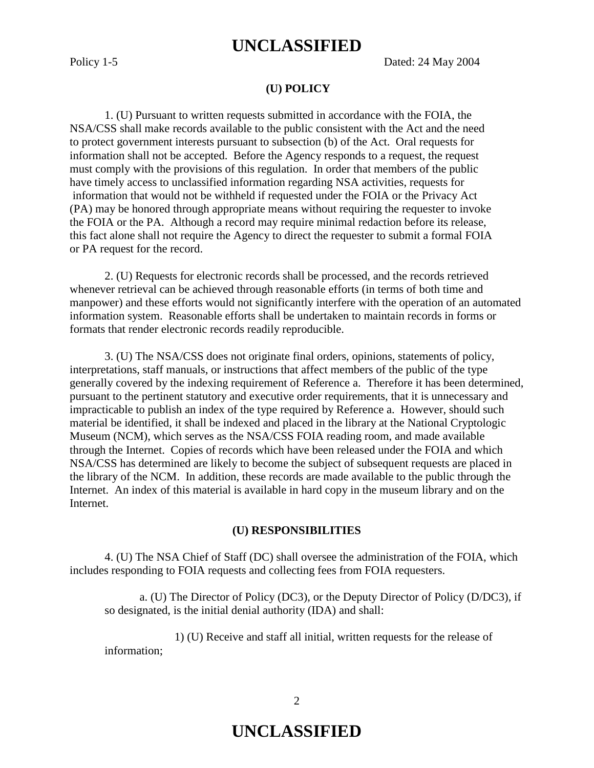Policy 1-5 Dated: 24 May 2004

#### **(U) POLICY**

 1. (U) Pursuant to written requests submitted in accordance with the FOIA, the NSA/CSS shall make records available to the public consistent with the Act and the need to protect government interests pursuant to subsection (b) of the Act. Oral requests for information shall not be accepted. Before the Agency responds to a request, the request must comply with the provisions of this regulation. In order that members of the public have timely access to unclassified information regarding NSA activities, requests for information that would not be withheld if requested under the FOIA or the Privacy Act (PA) may be honored through appropriate means without requiring the requester to invoke the FOIA or the PA. Although a record may require minimal redaction before its release, this fact alone shall not require the Agency to direct the requester to submit a formal FOIA or PA request for the record.

 2. (U) Requests for electronic records shall be processed, and the records retrieved whenever retrieval can be achieved through reasonable efforts (in terms of both time and manpower) and these efforts would not significantly interfere with the operation of an automated information system. Reasonable efforts shall be undertaken to maintain records in forms or formats that render electronic records readily reproducible.

 3. (U) The NSA/CSS does not originate final orders, opinions, statements of policy, interpretations, staff manuals, or instructions that affect members of the public of the type generally covered by the indexing requirement of Reference a. Therefore it has been determined, pursuant to the pertinent statutory and executive order requirements, that it is unnecessary and impracticable to publish an index of the type required by Reference a. However, should such material be identified, it shall be indexed and placed in the library at the National Cryptologic Museum (NCM), which serves as the NSA/CSS FOIA reading room, and made available through the Internet. Copies of records which have been released under the FOIA and which NSA/CSS has determined are likely to become the subject of subsequent requests are placed in the library of the NCM. In addition, these records are made available to the public through the Internet. An index of this material is available in hard copy in the museum library and on the Internet.

#### **(U) RESPONSIBILITIES**

 4. (U) The NSA Chief of Staff (DC) shall oversee the administration of the FOIA, which includes responding to FOIA requests and collecting fees from FOIA requesters.

a. (U) The Director of Policy (DC3), or the Deputy Director of Policy (D/DC3), if so designated, is the initial denial authority (IDA) and shall:

1) (U) Receive and staff all initial, written requests for the release of information;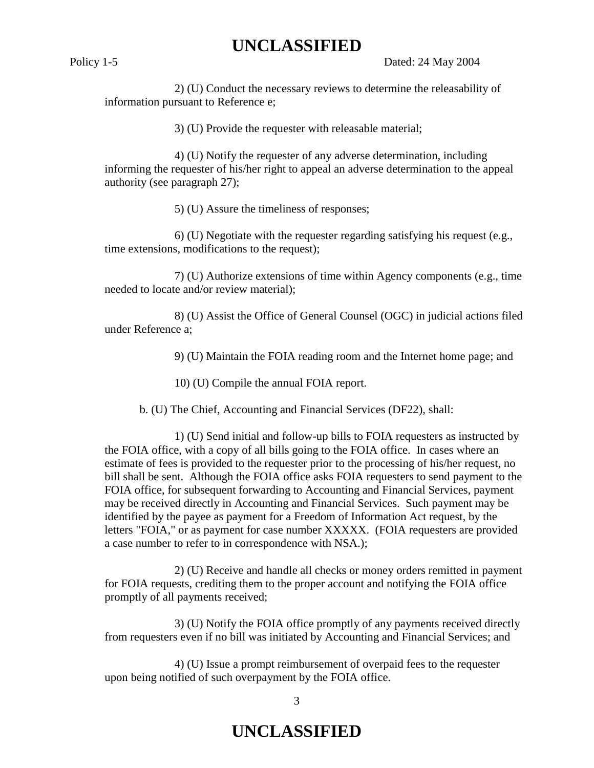Policy 1-5 Dated: 24 May 2004

2) (U) Conduct the necessary reviews to determine the releasability of information pursuant to Reference e;

3) (U) Provide the requester with releasable material;

4) (U) Notify the requester of any adverse determination, including informing the requester of his/her right to appeal an adverse determination to the appeal authority (see paragraph 27);

5) (U) Assure the timeliness of responses;

6) (U) Negotiate with the requester regarding satisfying his request (e.g., time extensions, modifications to the request);

7) (U) Authorize extensions of time within Agency components (e.g., time needed to locate and/or review material);

8) (U) Assist the Office of General Counsel (OGC) in judicial actions filed under Reference a;

9) (U) Maintain the FOIA reading room and the Internet home page; and

10) (U) Compile the annual FOIA report.

b. (U) The Chief, Accounting and Financial Services (DF22), shall:

1) (U) Send initial and follow-up bills to FOIA requesters as instructed by the FOIA office, with a copy of all bills going to the FOIA office. In cases where an estimate of fees is provided to the requester prior to the processing of his/her request, no bill shall be sent. Although the FOIA office asks FOIA requesters to send payment to the FOIA office, for subsequent forwarding to Accounting and Financial Services, payment may be received directly in Accounting and Financial Services. Such payment may be identified by the payee as payment for a Freedom of Information Act request, by the letters "FOIA," or as payment for case number XXXXX. (FOIA requesters are provided a case number to refer to in correspondence with NSA.);

2) (U) Receive and handle all checks or money orders remitted in payment for FOIA requests, crediting them to the proper account and notifying the FOIA office promptly of all payments received;

3) (U) Notify the FOIA office promptly of any payments received directly from requesters even if no bill was initiated by Accounting and Financial Services; and

4) (U) Issue a prompt reimbursement of overpaid fees to the requester upon being notified of such overpayment by the FOIA office.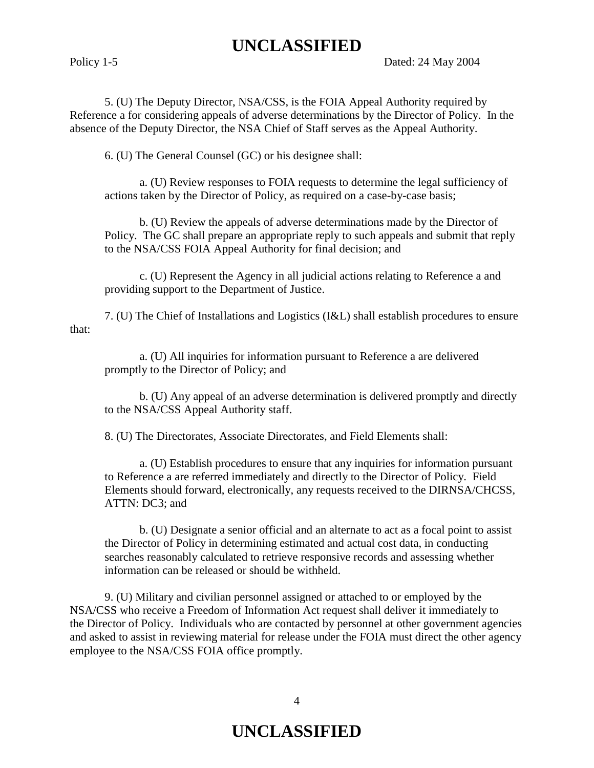Policy 1-5 Dated: 24 May 2004

 5. (U) The Deputy Director, NSA/CSS, is the FOIA Appeal Authority required by Reference a for considering appeals of adverse determinations by the Director of Policy. In the absence of the Deputy Director, the NSA Chief of Staff serves as the Appeal Authority.

6. (U) The General Counsel (GC) or his designee shall:

a. (U) Review responses to FOIA requests to determine the legal sufficiency of actions taken by the Director of Policy, as required on a case-by-case basis;

b. (U) Review the appeals of adverse determinations made by the Director of Policy. The GC shall prepare an appropriate reply to such appeals and submit that reply to the NSA/CSS FOIA Appeal Authority for final decision; and

c. (U) Represent the Agency in all judicial actions relating to Reference a and providing support to the Department of Justice.

 7. (U) The Chief of Installations and Logistics (I&L) shall establish procedures to ensure that:

a. (U) All inquiries for information pursuant to Reference a are delivered promptly to the Director of Policy; and

b. (U) Any appeal of an adverse determination is delivered promptly and directly to the NSA/CSS Appeal Authority staff.

8. (U) The Directorates, Associate Directorates, and Field Elements shall:

a. (U) Establish procedures to ensure that any inquiries for information pursuant to Reference a are referred immediately and directly to the Director of Policy. Field Elements should forward, electronically, any requests received to the DIRNSA/CHCSS, ATTN: DC3; and

b. (U) Designate a senior official and an alternate to act as a focal point to assist the Director of Policy in determining estimated and actual cost data, in conducting searches reasonably calculated to retrieve responsive records and assessing whether information can be released or should be withheld.

 9. (U) Military and civilian personnel assigned or attached to or employed by the NSA/CSS who receive a Freedom of Information Act request shall deliver it immediately to the Director of Policy. Individuals who are contacted by personnel at other government agencies and asked to assist in reviewing material for release under the FOIA must direct the other agency employee to the NSA/CSS FOIA office promptly.

4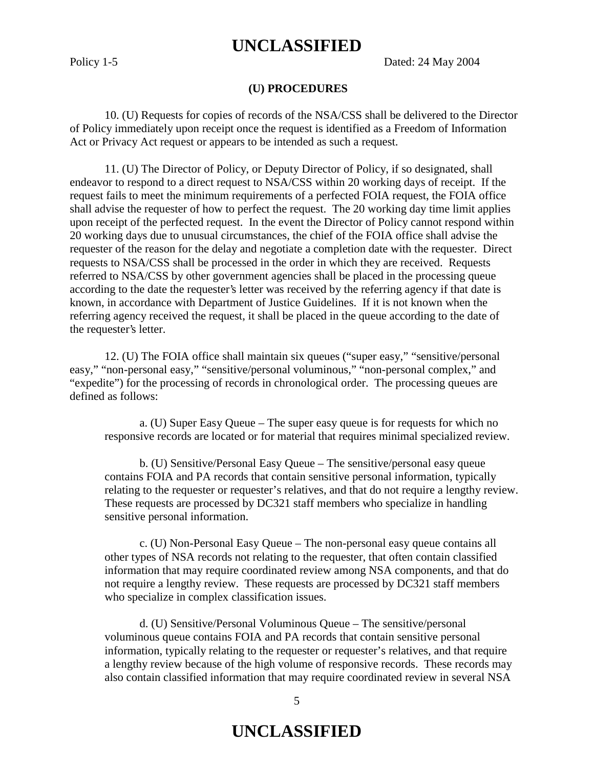Policy 1-5 Dated: 24 May 2004

#### **(U) PROCEDURES**

 10. (U) Requests for copies of records of the NSA/CSS shall be delivered to the Director of Policy immediately upon receipt once the request is identified as a Freedom of Information Act or Privacy Act request or appears to be intended as such a request.

 11. (U) The Director of Policy, or Deputy Director of Policy, if so designated, shall endeavor to respond to a direct request to NSA/CSS within 20 working days of receipt. If the request fails to meet the minimum requirements of a perfected FOIA request, the FOIA office shall advise the requester of how to perfect the request. The 20 working day time limit applies upon receipt of the perfected request. In the event the Director of Policy cannot respond within 20 working days due to unusual circumstances, the chief of the FOIA office shall advise the requester of the reason for the delay and negotiate a completion date with the requester. Direct requests to NSA/CSS shall be processed in the order in which they are received. Requests referred to NSA/CSS by other government agencies shall be placed in the processing queue according to the date the requester's letter was received by the referring agency if that date is known, in accordance with Department of Justice Guidelines. If it is not known when the referring agency received the request, it shall be placed in the queue according to the date of the requester's letter.

12. (U) The FOIA office shall maintain six queues ("super easy," "sensitive/personal easy," "non-personal easy," "sensitive/personal voluminous," "non-personal complex," and "expedite") for the processing of records in chronological order. The processing queues are defined as follows:

 a. (U) Super Easy Queue – The super easy queue is for requests for which no responsive records are located or for material that requires minimal specialized review.

 b. (U) Sensitive/Personal Easy Queue – The sensitive/personal easy queue contains FOIA and PA records that contain sensitive personal information, typically relating to the requester or requester's relatives, and that do not require a lengthy review. These requests are processed by DC321 staff members who specialize in handling sensitive personal information.

 c. (U) Non-Personal Easy Queue – The non-personal easy queue contains all other types of NSA records not relating to the requester, that often contain classified information that may require coordinated review among NSA components, and that do not require a lengthy review. These requests are processed by DC321 staff members who specialize in complex classification issues.

 d. (U) Sensitive/Personal Voluminous Queue – The sensitive/personal voluminous queue contains FOIA and PA records that contain sensitive personal information, typically relating to the requester or requester's relatives, and that require a lengthy review because of the high volume of responsive records. These records may also contain classified information that may require coordinated review in several NSA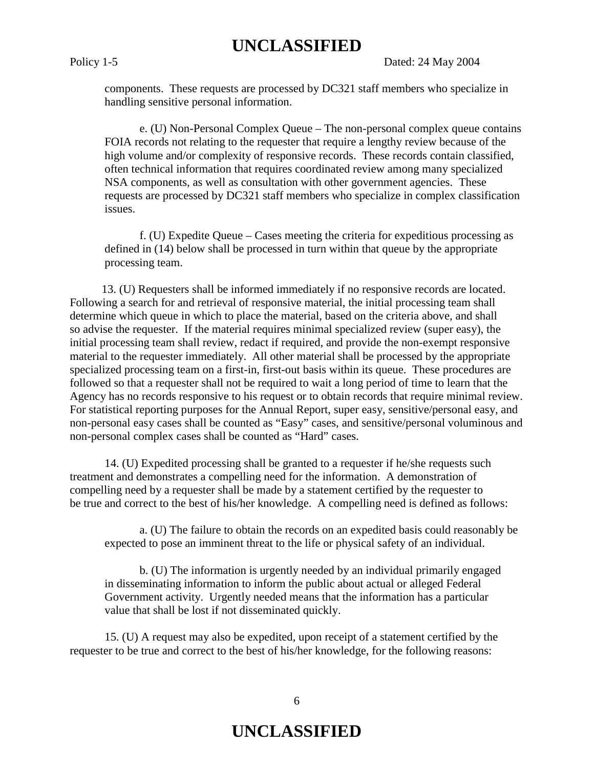Policy 1-5 Dated: 24 May 2004

components. These requests are processed by DC321 staff members who specialize in handling sensitive personal information.

 e. (U) Non-Personal Complex Queue – The non-personal complex queue contains FOIA records not relating to the requester that require a lengthy review because of the high volume and/or complexity of responsive records. These records contain classified, often technical information that requires coordinated review among many specialized NSA components, as well as consultation with other government agencies. These requests are processed by DC321 staff members who specialize in complex classification issues.

 f. (U) Expedite Queue – Cases meeting the criteria for expeditious processing as defined in (14) below shall be processed in turn within that queue by the appropriate processing team.

 13. (U) Requesters shall be informed immediately if no responsive records are located. Following a search for and retrieval of responsive material, the initial processing team shall determine which queue in which to place the material, based on the criteria above, and shall so advise the requester. If the material requires minimal specialized review (super easy), the initial processing team shall review, redact if required, and provide the non-exempt responsive material to the requester immediately. All other material shall be processed by the appropriate specialized processing team on a first-in, first-out basis within its queue. These procedures are followed so that a requester shall not be required to wait a long period of time to learn that the Agency has no records responsive to his request or to obtain records that require minimal review. For statistical reporting purposes for the Annual Report, super easy, sensitive/personal easy, and non-personal easy cases shall be counted as "Easy" cases, and sensitive/personal voluminous and non-personal complex cases shall be counted as "Hard" cases.

 14. (U) Expedited processing shall be granted to a requester if he/she requests such treatment and demonstrates a compelling need for the information. A demonstration of compelling need by a requester shall be made by a statement certified by the requester to be true and correct to the best of his/her knowledge. A compelling need is defined as follows:

a. (U) The failure to obtain the records on an expedited basis could reasonably be expected to pose an imminent threat to the life or physical safety of an individual.

b. (U) The information is urgently needed by an individual primarily engaged in disseminating information to inform the public about actual or alleged Federal Government activity. Urgently needed means that the information has a particular value that shall be lost if not disseminated quickly.

 15. (U) A request may also be expedited, upon receipt of a statement certified by the requester to be true and correct to the best of his/her knowledge, for the following reasons: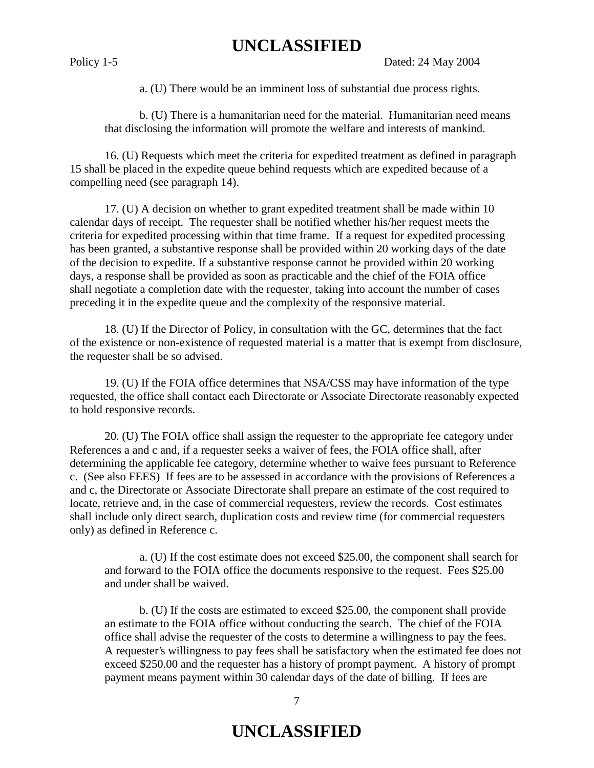Policy 1-5 Dated: 24 May 2004

a. (U) There would be an imminent loss of substantial due process rights.

b. (U) There is a humanitarian need for the material. Humanitarian need means that disclosing the information will promote the welfare and interests of mankind.

 16. (U) Requests which meet the criteria for expedited treatment as defined in paragraph 15 shall be placed in the expedite queue behind requests which are expedited because of a compelling need (see paragraph 14).

 17. (U) A decision on whether to grant expedited treatment shall be made within 10 calendar days of receipt. The requester shall be notified whether his/her request meets the criteria for expedited processing within that time frame. If a request for expedited processing has been granted, a substantive response shall be provided within 20 working days of the date of the decision to expedite. If a substantive response cannot be provided within 20 working days, a response shall be provided as soon as practicable and the chief of the FOIA office shall negotiate a completion date with the requester, taking into account the number of cases preceding it in the expedite queue and the complexity of the responsive material.

 18. (U) If the Director of Policy, in consultation with the GC, determines that the fact of the existence or non-existence of requested material is a matter that is exempt from disclosure, the requester shall be so advised.

 19. (U) If the FOIA office determines that NSA/CSS may have information of the type requested, the office shall contact each Directorate or Associate Directorate reasonably expected to hold responsive records.

 20. (U) The FOIA office shall assign the requester to the appropriate fee category under References a and c and, if a requester seeks a waiver of fees, the FOIA office shall, after determining the applicable fee category, determine whether to waive fees pursuant to Reference c. (See also FEES) If fees are to be assessed in accordance with the provisions of References a and c, the Directorate or Associate Directorate shall prepare an estimate of the cost required to locate, retrieve and, in the case of commercial requesters, review the records. Cost estimates shall include only direct search, duplication costs and review time (for commercial requesters only) as defined in Reference c.

a. (U) If the cost estimate does not exceed \$25.00, the component shall search for and forward to the FOIA office the documents responsive to the request. Fees \$25.00 and under shall be waived.

b. (U) If the costs are estimated to exceed \$25.00, the component shall provide an estimate to the FOIA office without conducting the search. The chief of the FOIA office shall advise the requester of the costs to determine a willingness to pay the fees. A requester's willingness to pay fees shall be satisfactory when the estimated fee does not exceed \$250.00 and the requester has a history of prompt payment. A history of prompt payment means payment within 30 calendar days of the date of billing. If fees are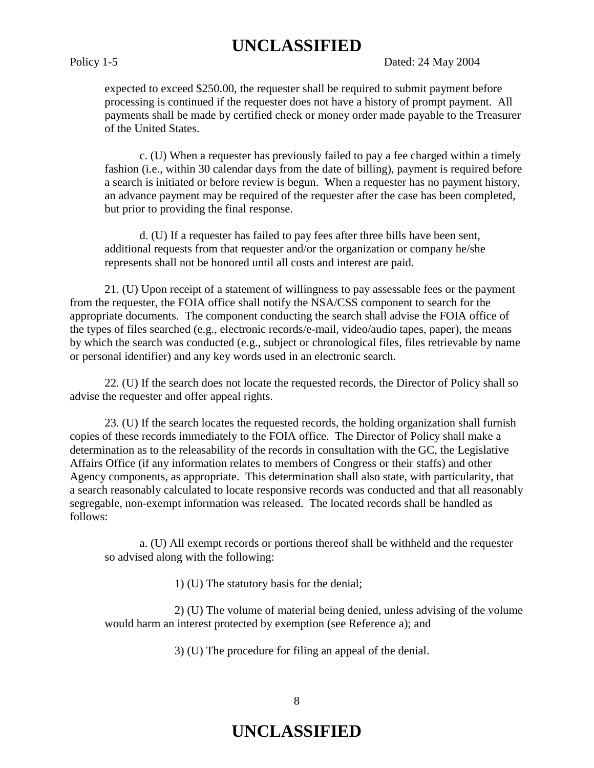Policy 1-5 Dated: 24 May 2004

expected to exceed \$250.00, the requester shall be required to submit payment before processing is continued if the requester does not have a history of prompt payment. All payments shall be made by certified check or money order made payable to the Treasurer of the United States.

c. (U) When a requester has previously failed to pay a fee charged within a timely fashion (i.e., within 30 calendar days from the date of billing), payment is required before a search is initiated or before review is begun. When a requester has no payment history, an advance payment may be required of the requester after the case has been completed, but prior to providing the final response.

d. (U) If a requester has failed to pay fees after three bills have been sent, additional requests from that requester and/or the organization or company he/she represents shall not be honored until all costs and interest are paid.

 21. (U) Upon receipt of a statement of willingness to pay assessable fees or the payment from the requester, the FOIA office shall notify the NSA/CSS component to search for the appropriate documents. The component conducting the search shall advise the FOIA office of the types of files searched (e.g., electronic records/e-mail, video/audio tapes, paper), the means by which the search was conducted (e.g., subject or chronological files, files retrievable by name or personal identifier) and any key words used in an electronic search.

 22. (U) If the search does not locate the requested records, the Director of Policy shall so advise the requester and offer appeal rights.

 23. (U) If the search locates the requested records, the holding organization shall furnish copies of these records immediately to the FOIA office. The Director of Policy shall make a determination as to the releasability of the records in consultation with the GC, the Legislative Affairs Office (if any information relates to members of Congress or their staffs) and other Agency components, as appropriate. This determination shall also state, with particularity, that a search reasonably calculated to locate responsive records was conducted and that all reasonably segregable, non-exempt information was released. The located records shall be handled as follows:

a. (U) All exempt records or portions thereof shall be withheld and the requester so advised along with the following:

1) (U) The statutory basis for the denial;

2) (U) The volume of material being denied, unless advising of the volume would harm an interest protected by exemption (see Reference a); and

3) (U) The procedure for filing an appeal of the denial.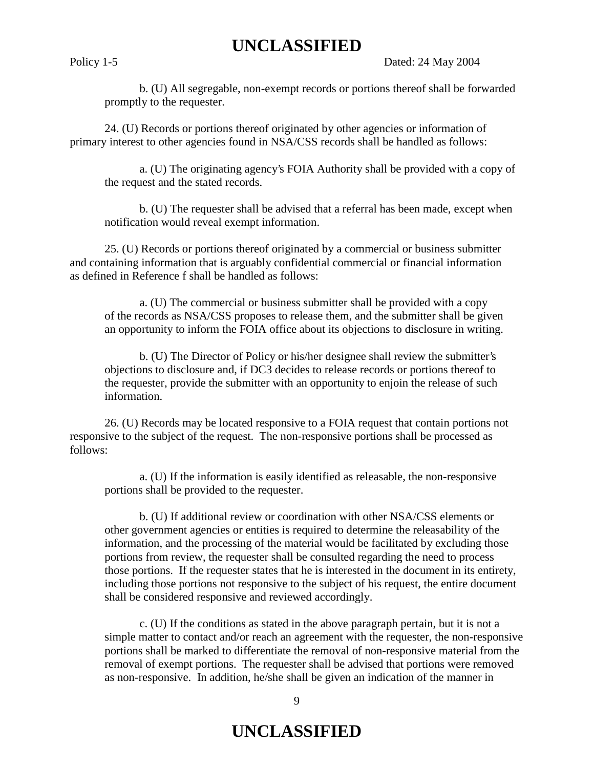Policy 1-5 Dated: 24 May 2004

b. (U) All segregable, non-exempt records or portions thereof shall be forwarded promptly to the requester.

 24. (U) Records or portions thereof originated by other agencies or information of primary interest to other agencies found in NSA/CSS records shall be handled as follows:

a. (U) The originating agency's FOIA Authority shall be provided with a copy of the request and the stated records.

b. (U) The requester shall be advised that a referral has been made, except when notification would reveal exempt information.

 25. (U) Records or portions thereof originated by a commercial or business submitter and containing information that is arguably confidential commercial or financial information as defined in Reference f shall be handled as follows:

a. (U) The commercial or business submitter shall be provided with a copy of the records as NSA/CSS proposes to release them, and the submitter shall be given an opportunity to inform the FOIA office about its objections to disclosure in writing.

b. (U) The Director of Policy or his/her designee shall review the submitter's objections to disclosure and, if DC3 decides to release records or portions thereof to the requester, provide the submitter with an opportunity to enjoin the release of such information.

 26. (U) Records may be located responsive to a FOIA request that contain portions not responsive to the subject of the request. The non-responsive portions shall be processed as follows:

a. (U) If the information is easily identified as releasable, the non-responsive portions shall be provided to the requester.

b. (U) If additional review or coordination with other NSA/CSS elements or other government agencies or entities is required to determine the releasability of the information, and the processing of the material would be facilitated by excluding those portions from review, the requester shall be consulted regarding the need to process those portions. If the requester states that he is interested in the document in its entirety, including those portions not responsive to the subject of his request, the entire document shall be considered responsive and reviewed accordingly.

c. (U) If the conditions as stated in the above paragraph pertain, but it is not a simple matter to contact and/or reach an agreement with the requester, the non-responsive portions shall be marked to differentiate the removal of non-responsive material from the removal of exempt portions. The requester shall be advised that portions were removed as non-responsive. In addition, he/she shall be given an indication of the manner in

9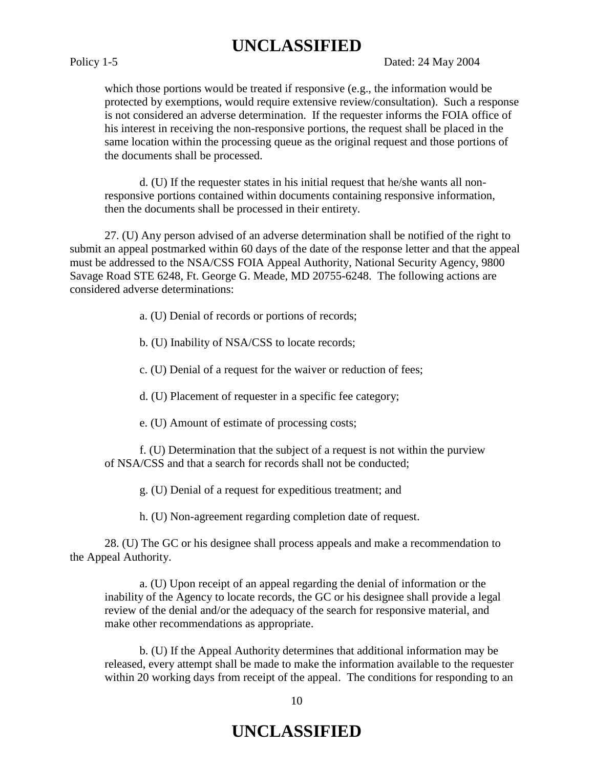Policy 1-5 Dated: 24 May 2004

which those portions would be treated if responsive (e.g., the information would be protected by exemptions, would require extensive review/consultation). Such a response is not considered an adverse determination. If the requester informs the FOIA office of his interest in receiving the non-responsive portions, the request shall be placed in the same location within the processing queue as the original request and those portions of the documents shall be processed.

d. (U) If the requester states in his initial request that he/she wants all nonresponsive portions contained within documents containing responsive information, then the documents shall be processed in their entirety.

 27. (U) Any person advised of an adverse determination shall be notified of the right to submit an appeal postmarked within 60 days of the date of the response letter and that the appeal must be addressed to the NSA/CSS FOIA Appeal Authority, National Security Agency, 9800 Savage Road STE 6248, Ft. George G. Meade, MD 20755-6248. The following actions are considered adverse determinations:

- a. (U) Denial of records or portions of records;
- b. (U) Inability of NSA/CSS to locate records;
- c. (U) Denial of a request for the waiver or reduction of fees;
- d. (U) Placement of requester in a specific fee category;
- e. (U) Amount of estimate of processing costs;

f. (U) Determination that the subject of a request is not within the purview of NSA/CSS and that a search for records shall not be conducted;

g. (U) Denial of a request for expeditious treatment; and

h. (U) Non-agreement regarding completion date of request.

 28. (U) The GC or his designee shall process appeals and make a recommendation to the Appeal Authority.

a. (U) Upon receipt of an appeal regarding the denial of information or the inability of the Agency to locate records, the GC or his designee shall provide a legal review of the denial and/or the adequacy of the search for responsive material, and make other recommendations as appropriate.

b. (U) If the Appeal Authority determines that additional information may be released, every attempt shall be made to make the information available to the requester within 20 working days from receipt of the appeal. The conditions for responding to an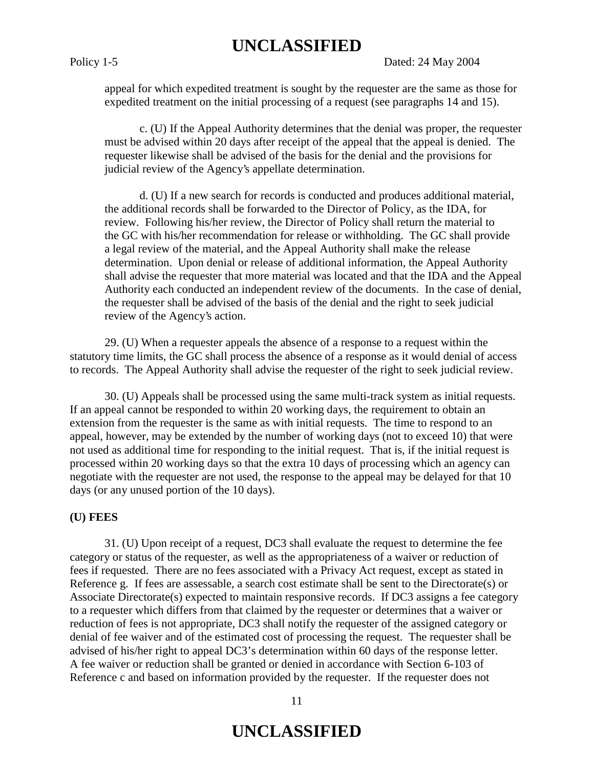Policy 1-5 Dated: 24 May 2004

appeal for which expedited treatment is sought by the requester are the same as those for expedited treatment on the initial processing of a request (see paragraphs 14 and 15).

c. (U) If the Appeal Authority determines that the denial was proper, the requester must be advised within 20 days after receipt of the appeal that the appeal is denied. The requester likewise shall be advised of the basis for the denial and the provisions for judicial review of the Agency's appellate determination.

d. (U) If a new search for records is conducted and produces additional material, the additional records shall be forwarded to the Director of Policy, as the IDA, for review. Following his/her review, the Director of Policy shall return the material to the GC with his/her recommendation for release or withholding. The GC shall provide a legal review of the material, and the Appeal Authority shall make the release determination. Upon denial or release of additional information, the Appeal Authority shall advise the requester that more material was located and that the IDA and the Appeal Authority each conducted an independent review of the documents. In the case of denial, the requester shall be advised of the basis of the denial and the right to seek judicial review of the Agency's action.

 29. (U) When a requester appeals the absence of a response to a request within the statutory time limits, the GC shall process the absence of a response as it would denial of access to records. The Appeal Authority shall advise the requester of the right to seek judicial review.

 30. (U) Appeals shall be processed using the same multi-track system as initial requests. If an appeal cannot be responded to within 20 working days, the requirement to obtain an extension from the requester is the same as with initial requests. The time to respond to an appeal, however, may be extended by the number of working days (not to exceed 10) that were not used as additional time for responding to the initial request. That is, if the initial request is processed within 20 working days so that the extra 10 days of processing which an agency can negotiate with the requester are not used, the response to the appeal may be delayed for that 10 days (or any unused portion of the 10 days).

#### **(U) FEES**

 31. (U) Upon receipt of a request, DC3 shall evaluate the request to determine the fee category or status of the requester, as well as the appropriateness of a waiver or reduction of fees if requested. There are no fees associated with a Privacy Act request, except as stated in Reference g. If fees are assessable, a search cost estimate shall be sent to the Directorate(s) or Associate Directorate(s) expected to maintain responsive records. If DC3 assigns a fee category to a requester which differs from that claimed by the requester or determines that a waiver or reduction of fees is not appropriate, DC3 shall notify the requester of the assigned category or denial of fee waiver and of the estimated cost of processing the request. The requester shall be advised of his/her right to appeal DC3's determination within 60 days of the response letter. A fee waiver or reduction shall be granted or denied in accordance with Section 6-103 of Reference c and based on information provided by the requester. If the requester does not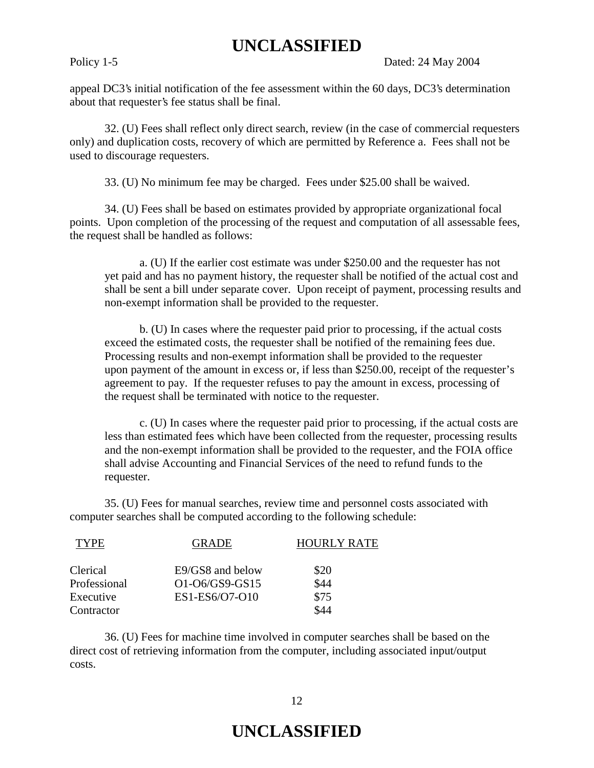Policy 1-5 Dated: 24 May 2004

appeal DC3's initial notification of the fee assessment within the 60 days, DC3's determination about that requester's fee status shall be final.

 32. (U) Fees shall reflect only direct search, review (in the case of commercial requesters only) and duplication costs, recovery of which are permitted by Reference a. Fees shall not be used to discourage requesters.

33. (U) No minimum fee may be charged. Fees under \$25.00 shall be waived.

 34. (U) Fees shall be based on estimates provided by appropriate organizational focal points. Upon completion of the processing of the request and computation of all assessable fees, the request shall be handled as follows:

a. (U) If the earlier cost estimate was under \$250.00 and the requester has not yet paid and has no payment history, the requester shall be notified of the actual cost and shall be sent a bill under separate cover. Upon receipt of payment, processing results and non-exempt information shall be provided to the requester.

b. (U) In cases where the requester paid prior to processing, if the actual costs exceed the estimated costs, the requester shall be notified of the remaining fees due. Processing results and non-exempt information shall be provided to the requester upon payment of the amount in excess or, if less than \$250.00, receipt of the requester's agreement to pay. If the requester refuses to pay the amount in excess, processing of the request shall be terminated with notice to the requester.

c. (U) In cases where the requester paid prior to processing, if the actual costs are less than estimated fees which have been collected from the requester, processing results and the non-exempt information shall be provided to the requester, and the FOIA office shall advise Accounting and Financial Services of the need to refund funds to the requester.

 35. (U) Fees for manual searches, review time and personnel costs associated with computer searches shall be computed according to the following schedule:

| TYPE            | <b>GRADE</b>     | <b>HOURLY RATE</b> |
|-----------------|------------------|--------------------|
|                 |                  |                    |
| <b>Clerical</b> | E9/GS8 and below | \$20               |
| Professional    | O1-O6/GS9-GS15   | \$44               |
| Executive       | ES1-ES6/O7-O10   | \$75               |
| Contractor      |                  | \$44               |

 36. (U) Fees for machine time involved in computer searches shall be based on the direct cost of retrieving information from the computer, including associated input/output costs.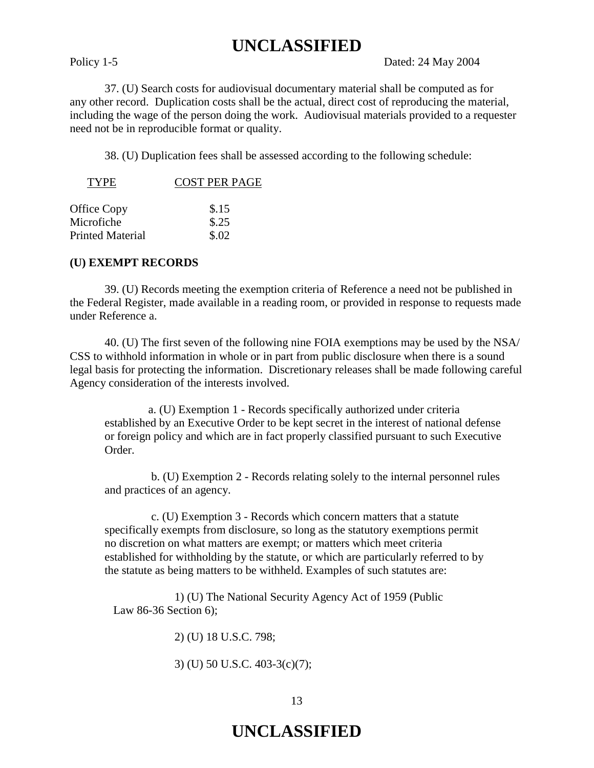Policy 1-5 Dated: 24 May 2004

 37. (U) Search costs for audiovisual documentary material shall be computed as for any other record. Duplication costs shall be the actual, direct cost of reproducing the material, including the wage of the person doing the work. Audiovisual materials provided to a requester need not be in reproducible format or quality.

38. (U) Duplication fees shall be assessed according to the following schedule:

| <b>TYPE</b>      | <b>COST PER PAGE</b> |
|------------------|----------------------|
|                  |                      |
| Office Copy      | \$.15                |
| Microfiche       | \$.25                |
| Printed Material | \$.02                |

#### **(U) EXEMPT RECORDS**

 39. (U) Records meeting the exemption criteria of Reference a need not be published in the Federal Register, made available in a reading room, or provided in response to requests made under Reference a.

 40. (U) The first seven of the following nine FOIA exemptions may be used by the NSA/ CSS to withhold information in whole or in part from public disclosure when there is a sound legal basis for protecting the information. Discretionary releases shall be made following careful Agency consideration of the interests involved.

a. (U) Exemption 1 - Records specifically authorized under criteria established by an Executive Order to be kept secret in the interest of national defense or foreign policy and which are in fact properly classified pursuant to such Executive Order.

 b. (U) Exemption 2 - Records relating solely to the internal personnel rules and practices of an agency.

 c. (U) Exemption 3 - Records which concern matters that a statute specifically exempts from disclosure, so long as the statutory exemptions permit no discretion on what matters are exempt; or matters which meet criteria established for withholding by the statute, or which are particularly referred to by the statute as being matters to be withheld. Examples of such statutes are:

 1) (U) The National Security Agency Act of 1959 (Public Law 86-36 Section 6);

2) (U) 18 U.S.C. 798;

3) (U) 50 U.S.C. 403-3(c)(7);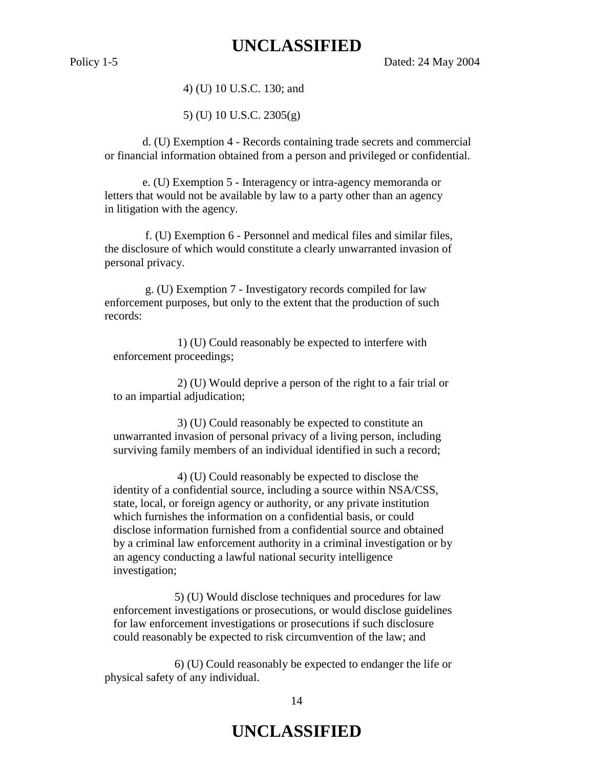Policy 1-5 Dated: 24 May 2004

4) (U) 10 U.S.C. 130; and

5) (U) 10 U.S.C. 2305(g)

 d. (U) Exemption 4 - Records containing trade secrets and commercial or financial information obtained from a person and privileged or confidential.

 e. (U) Exemption 5 - Interagency or intra-agency memoranda or letters that would not be available by law to a party other than an agency in litigation with the agency.

 f. (U) Exemption 6 - Personnel and medical files and similar files, the disclosure of which would constitute a clearly unwarranted invasion of personal privacy.

 g. (U) Exemption 7 - Investigatory records compiled for law enforcement purposes, but only to the extent that the production of such records:

 1) (U) Could reasonably be expected to interfere with enforcement proceedings;

 2) (U) Would deprive a person of the right to a fair trial or to an impartial adjudication;

 3) (U) Could reasonably be expected to constitute an unwarranted invasion of personal privacy of a living person, including surviving family members of an individual identified in such a record;

 4) (U) Could reasonably be expected to disclose the identity of a confidential source, including a source within NSA/CSS, state, local, or foreign agency or authority, or any private institution which furnishes the information on a confidential basis, or could disclose information furnished from a confidential source and obtained by a criminal law enforcement authority in a criminal investigation or by an agency conducting a lawful national security intelligence investigation;

 5) (U) Would disclose techniques and procedures for law enforcement investigations or prosecutions, or would disclose guidelines for law enforcement investigations or prosecutions if such disclosure could reasonably be expected to risk circumvention of the law; and

6) (U) Could reasonably be expected to endanger the life or physical safety of any individual.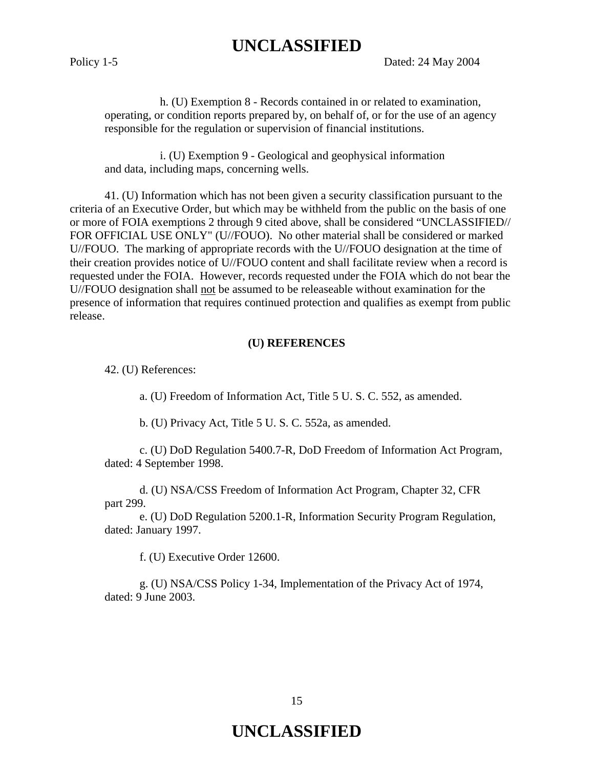Policy 1-5 Dated: 24 May 2004

 h. (U) Exemption 8 - Records contained in or related to examination, operating, or condition reports prepared by, on behalf of, or for the use of an agency responsible for the regulation or supervision of financial institutions.

 i. (U) Exemption 9 - Geological and geophysical information and data, including maps, concerning wells.

 41. (U) Information which has not been given a security classification pursuant to the criteria of an Executive Order, but which may be withheld from the public on the basis of one or more of FOIA exemptions 2 through 9 cited above, shall be considered "UNCLASSIFIED// FOR OFFICIAL USE ONLY" (U//FOUO). No other material shall be considered or marked U//FOUO. The marking of appropriate records with the U//FOUO designation at the time of their creation provides notice of U//FOUO content and shall facilitate review when a record is requested under the FOIA. However, records requested under the FOIA which do not bear the U//FOUO designation shall not be assumed to be releaseable without examination for the presence of information that requires continued protection and qualifies as exempt from public release.

#### **(U) REFERENCES**

42. (U) References:

a. (U) Freedom of Information Act, Title 5 U. S. C. 552, as amended.

b. (U) Privacy Act, Title 5 U. S. C. 552a, as amended.

c. (U) DoD Regulation 5400.7-R, DoD Freedom of Information Act Program, dated: 4 September 1998.

d. (U) NSA/CSS Freedom of Information Act Program, Chapter 32, CFR part 299.

e. (U) DoD Regulation 5200.1-R, Information Security Program Regulation, dated: January 1997.

f. (U) Executive Order 12600.

g. (U) NSA/CSS Policy 1-34, Implementation of the Privacy Act of 1974, dated: 9 June 2003.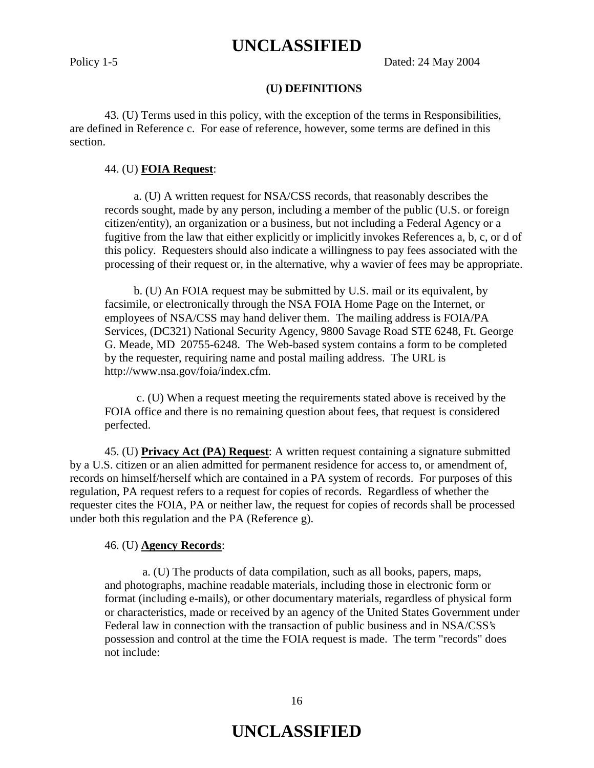Policy 1-5 Dated: 24 May 2004

#### **(U) DEFINITIONS**

 43. (U) Terms used in this policy, with the exception of the terms in Responsibilities, are defined in Reference c. For ease of reference, however, some terms are defined in this section.

#### 44. (U) **FOIA Request**:

 a. (U) A written request for NSA/CSS records, that reasonably describes the records sought, made by any person, including a member of the public (U.S. or foreign citizen/entity), an organization or a business, but not including a Federal Agency or a fugitive from the law that either explicitly or implicitly invokes References a, b, c, or d of this policy. Requesters should also indicate a willingness to pay fees associated with the processing of their request or, in the alternative, why a wavier of fees may be appropriate.

 b. (U) An FOIA request may be submitted by U.S. mail or its equivalent, by facsimile, or electronically through the NSA FOIA Home Page on the Internet, or employees of NSA/CSS may hand deliver them. The mailing address is FOIA/PA Services, (DC321) National Security Agency, 9800 Savage Road STE 6248, Ft. George G. Meade, MD 20755-6248. The Web-based system contains a form to be completed by the requester, requiring name and postal mailing address. The URL is http://www.nsa.gov/foia/index.cfm.

 c. (U) When a request meeting the requirements stated above is received by the FOIA office and there is no remaining question about fees, that request is considered perfected.

 45. (U) **Privacy Act (PA) Request**: A written request containing a signature submitted by a U.S. citizen or an alien admitted for permanent residence for access to, or amendment of, records on himself/herself which are contained in a PA system of records. For purposes of this regulation, PA request refers to a request for copies of records. Regardless of whether the requester cites the FOIA, PA or neither law, the request for copies of records shall be processed under both this regulation and the PA (Reference g).

#### 46. (U) **Agency Records**:

 a. (U) The products of data compilation, such as all books, papers, maps, and photographs, machine readable materials, including those in electronic form or format (including e-mails), or other documentary materials, regardless of physical form or characteristics, made or received by an agency of the United States Government under Federal law in connection with the transaction of public business and in NSA/CSS's possession and control at the time the FOIA request is made. The term "records" does not include: